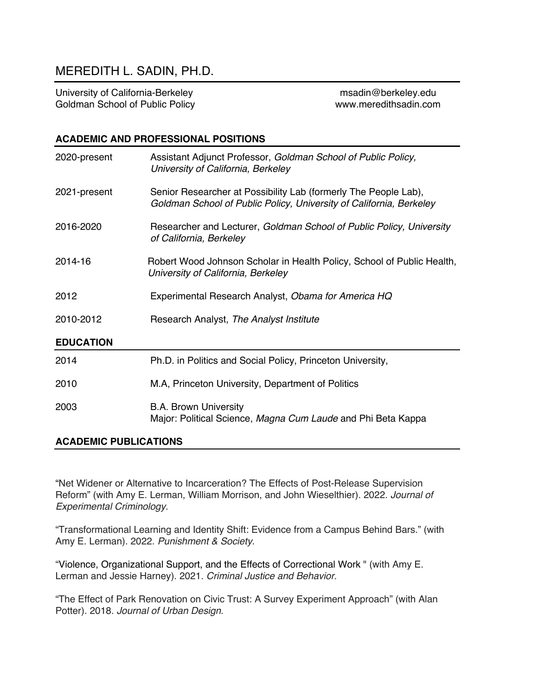# MEREDITH L. SADIN, PH.D.

University of California-Berkeley metallic metal manufacture manufacture metallic metallic metallic metallic m Goldman School of Public Policy **www.meredithsadin.com** 

## **ACADEMIC AND PROFESSIONAL POSITIONS**

| 2020-present     | Assistant Adjunct Professor, Goldman School of Public Policy,<br>University of California, Berkeley                                    |
|------------------|----------------------------------------------------------------------------------------------------------------------------------------|
| 2021-present     | Senior Researcher at Possibility Lab (formerly The People Lab),<br>Goldman School of Public Policy, University of California, Berkeley |
| 2016-2020        | Researcher and Lecturer, Goldman School of Public Policy, University<br>of California, Berkeley                                        |
| 2014-16          | Robert Wood Johnson Scholar in Health Policy, School of Public Health,<br>University of California, Berkeley                           |
| 2012             | Experimental Research Analyst, Obama for America HQ                                                                                    |
| 2010-2012        | Research Analyst, The Analyst Institute                                                                                                |
| <b>EDUCATION</b> |                                                                                                                                        |
| 2014             | Ph.D. in Politics and Social Policy, Princeton University,                                                                             |
| 2010             | M.A, Princeton University, Department of Politics                                                                                      |
| 2003             | <b>B.A. Brown University</b><br>Major: Political Science, Magna Cum Laude and Phi Beta Kappa                                           |

## **ACADEMIC PUBLICATIONS**

"Net Widener or Alternative to Incarceration? The Effects of Post-Release Supervision Reform" (with Amy E. Lerman, William Morrison, and John Wieselthier). 2022. *Journal of Experimental Criminology.*

"Transformational Learning and Identity Shift: Evidence from a Campus Behind Bars." (with Amy E. Lerman). 2022. *Punishment & Society.*

"Violence, Organizational Support, and the Effects of Correctional Work " (with Amy E. Lerman and Jessie Harney). 2021*. Criminal Justice and Behavior.*

"The Effect of Park Renovation on Civic Trust: A Survey Experiment Approach" (with Alan Potter). 2018. *Journal of Urban Design*.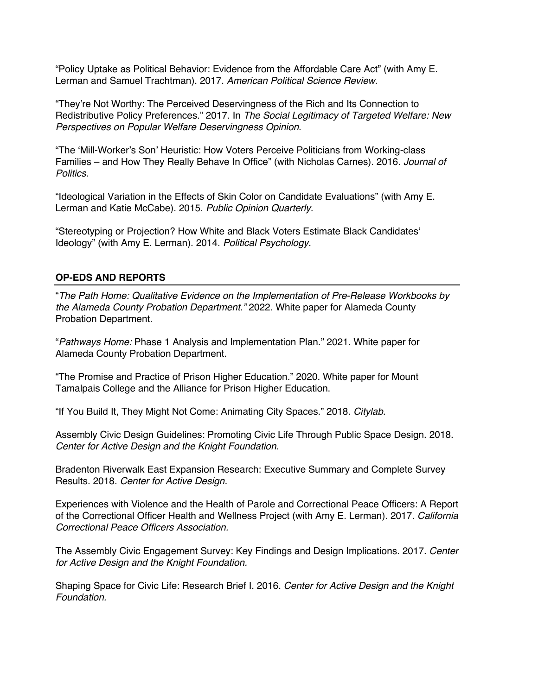"Policy Uptake as Political Behavior: Evidence from the Affordable Care Act" (with Amy E. Lerman and Samuel Trachtman). 2017. *American Political Science Review*.

"They're Not Worthy: The Perceived Deservingness of the Rich and Its Connection to Redistributive Policy Preferences." 2017. In *The Social Legitimacy of Targeted Welfare: New Perspectives on Popular Welfare Deservingness Opinion*.

"The 'Mill-Worker's Son' Heuristic: How Voters Perceive Politicians from Working-class Families – and How They Really Behave In Office" (with Nicholas Carnes). 2016. *Journal of Politics.*

"Ideological Variation in the Effects of Skin Color on Candidate Evaluations" (with Amy E. Lerman and Katie McCabe). 2015. *Public Opinion Quarterly.*

"Stereotyping or Projection? How White and Black Voters Estimate Black Candidates' Ideology" (with Amy E. Lerman). 2014. *Political Psychology.*

## **OP-EDS AND REPORTS**

"*The Path Home: Qualitative Evidence on the Implementation of Pre-Release Workbooks by the Alameda County Probation Department."* 2022. White paper for Alameda County Probation Department.

"*Pathways Home:* Phase 1 Analysis and Implementation Plan." 2021. White paper for Alameda County Probation Department.

"The Promise and Practice of Prison Higher Education." 2020. White paper for Mount Tamalpais College and the Alliance for Prison Higher Education.

"If You Build It, They Might Not Come: Animating City Spaces." 2018. *Citylab.* 

Assembly Civic Design Guidelines: Promoting Civic Life Through Public Space Design. 2018. *Center for Active Design and the Knight Foundation*.

Bradenton Riverwalk East Expansion Research: Executive Summary and Complete Survey Results. 2018. *Center for Active Design.*

Experiences with Violence and the Health of Parole and Correctional Peace Officers: A Report of the Correctional Officer Health and Wellness Project (with Amy E. Lerman). 2017. *California Correctional Peace Officers Association.*

The Assembly Civic Engagement Survey: Key Findings and Design Implications. 2017. *Center for Active Design and the Knight Foundation.* 

Shaping Space for Civic Life: Research Brief I. 2016. *Center for Active Design and the Knight Foundation.*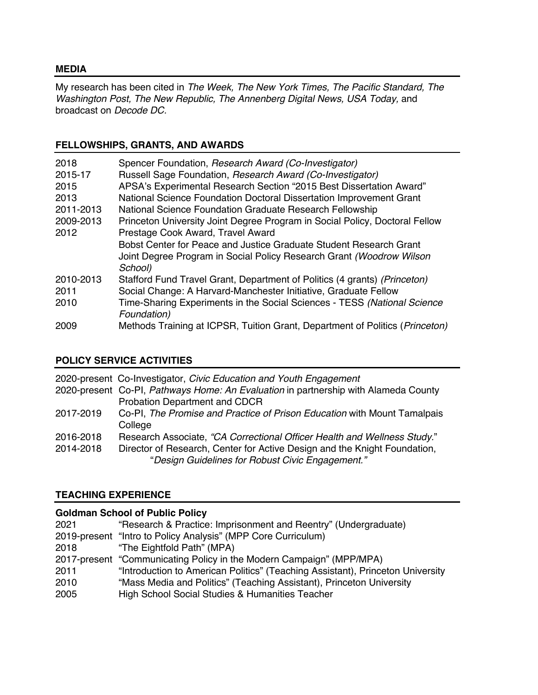#### **MEDIA**

My research has been cited in *The Week, The New York Times, The Pacific Standard, The Washington Post, The New Republic, The Annenberg Digital News, USA Today, and* broadcast on *Decode DC.* 

# **FELLOWSHIPS, GRANTS, AND AWARDS**

| 2018      | Spencer Foundation, Research Award (Co-Investigator)                                  |
|-----------|---------------------------------------------------------------------------------------|
| 2015-17   | Russell Sage Foundation, Research Award (Co-Investigator)                             |
| 2015      | APSA's Experimental Research Section "2015 Best Dissertation Award"                   |
| 2013      | National Science Foundation Doctoral Dissertation Improvement Grant                   |
| 2011-2013 | National Science Foundation Graduate Research Fellowship                              |
| 2009-2013 | Princeton University Joint Degree Program in Social Policy, Doctoral Fellow           |
| 2012      | Prestage Cook Award, Travel Award                                                     |
|           | Bobst Center for Peace and Justice Graduate Student Research Grant                    |
|           | Joint Degree Program in Social Policy Research Grant (Woodrow Wilson                  |
|           | School)                                                                               |
| 2010-2013 | Stafford Fund Travel Grant, Department of Politics (4 grants) (Princeton)             |
| 2011      | Social Change: A Harvard-Manchester Initiative, Graduate Fellow                       |
| 2010      | Time-Sharing Experiments in the Social Sciences - TESS (National Science              |
|           | Foundation)                                                                           |
| 2009      | Methods Training at ICPSR, Tuition Grant, Department of Politics ( <i>Princeton</i> ) |

## **POLICY SERVICE ACTIVITIES**

2020-present Co-Investigator, *Civic Education and Youth Engagement* 2020-present Co-PI, *Pathways Home: An Evaluation* in partnership with Alameda County Probation Department and CDCR 2017-2019 Co-PI, *The Promise and Practice of Prison Education* with Mount Tamalpais **College** 2016-2018 Research Associate, *"CA Correctional Officer Health and Wellness Study.*" 2014-2018 Director of Research, Center for Active Design and the Knight Foundation, "*Design Guidelines for Robust Civic Engagement."*

# **TEACHING EXPERIENCE**

# **Goldman School of Public Policy**

| 2021 | "Research & Practice: Imprisonment and Reentry" (Undergraduate)                |
|------|--------------------------------------------------------------------------------|
|      | 2019-present "Intro to Policy Analysis" (MPP Core Curriculum)                  |
| 2018 | "The Eightfold Path" (MPA)                                                     |
|      | 2017-present "Communicating Policy in the Modern Campaign" (MPP/MPA)           |
| 2011 | "Introduction to American Politics" (Teaching Assistant), Princeton University |
| 2010 | "Mass Media and Politics" (Teaching Assistant), Princeton University           |
| 2005 | High School Social Studies & Humanities Teacher                                |